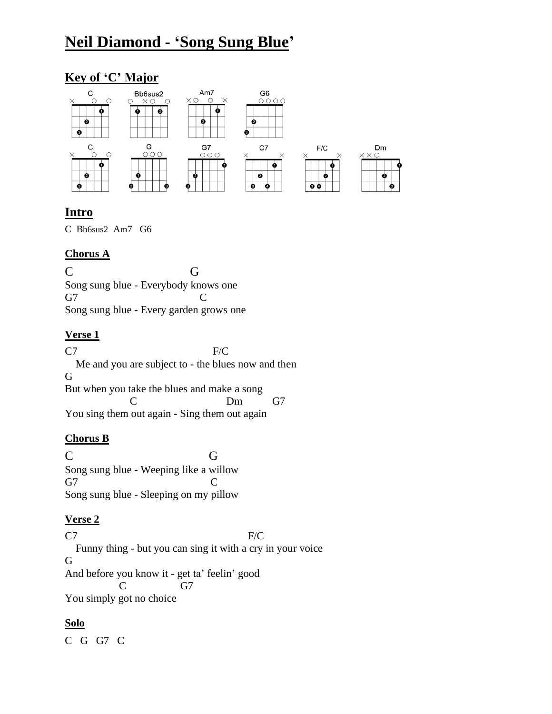# **Neil Diamond - 'Song Sung Blue'**

# **Key of 'C' Major**



# **Intro**

C Bb6sus2 Am7 G6

#### **Chorus A**

C G Song sung blue - Everybody knows one G7 C Song sung blue - Every garden grows one

# **Verse 1**

C7 F/C Me and you are subject to - the blues now and then G But when you take the blues and make a song C Dm G7 You sing them out again - Sing them out again

# **Chorus B**

C G Song sung blue - Weeping like a willow G7 C Song sung blue - Sleeping on my pillow

# **Verse 2**

 $C7$  F/C Funny thing - but you can sing it with a cry in your voice G And before you know it - get ta' feelin' good C G7 You simply got no choice

# **Solo**

C G G7 C